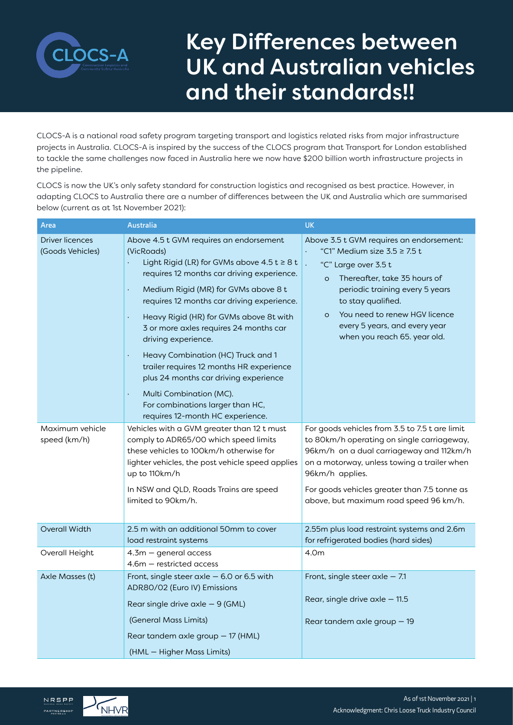

# Key Differences between UK and Australian vehicles and their standards!!

CLOCS-A is a national road safety program targeting transport and logistics related risks from major infrastructure projects in Australia. CLOCS-A is inspired by the success of the CLOCS program that Transport for London established to tackle the same challenges now faced in Australia here we now have \$200 billion worth infrastructure projects in the pipeline.

CLOCS is now the UK's only safety standard for construction logistics and recognised as best practice. However, in adapting CLOCS to Australia there are a number of differences between the UK and Australia which are summarised below (current as at 1st November 2021):

| Area                                       | <b>Australia</b>                                                                                                                                                                                                                                                                                                                                                                                                                                                                                                                                                                                                                                                   | <b>UK</b>                                                                                                                                                                                                                                                                                                                                     |
|--------------------------------------------|--------------------------------------------------------------------------------------------------------------------------------------------------------------------------------------------------------------------------------------------------------------------------------------------------------------------------------------------------------------------------------------------------------------------------------------------------------------------------------------------------------------------------------------------------------------------------------------------------------------------------------------------------------------------|-----------------------------------------------------------------------------------------------------------------------------------------------------------------------------------------------------------------------------------------------------------------------------------------------------------------------------------------------|
| <b>Driver licences</b><br>(Goods Vehicles) | Above 4.5 t GVM requires an endorsement<br>(VicRoads)<br>Light Rigid (LR) for GVMs above $4.5$ t $\geq 8$ t<br>requires 12 months car driving experience.<br>Medium Rigid (MR) for GVMs above 8 t<br>$\ddot{\phantom{0}}$<br>requires 12 months car driving experience.<br>Heavy Rigid (HR) for GVMs above 8t with<br>$\bullet$<br>3 or more axles requires 24 months car<br>driving experience.<br>Heavy Combination (HC) Truck and 1<br>$\blacksquare$<br>trailer requires 12 months HR experience<br>plus 24 months car driving experience<br>Multi Combination (MC).<br>$\blacksquare$<br>For combinations larger than HC,<br>requires 12-month HC experience. | Above 3.5 t GVM requires an endorsement:<br>"C1" Medium size $3.5 \ge 7.5$ t<br>"C" Large over 3.5 t<br>$\ddot{\phantom{0}}$<br>Thereafter, take 35 hours of<br>$\circ$<br>periodic training every 5 years<br>to stay qualified.<br>You need to renew HGV licence<br>$\circ$<br>every 5 years, and every year<br>when you reach 65. year old. |
| Maximum vehicle<br>speed (km/h)            | Vehicles with a GVM greater than 12 t must<br>comply to ADR65/00 which speed limits<br>these vehicles to 100km/h otherwise for<br>lighter vehicles, the post vehicle speed applies<br>up to 110km/h<br>In NSW and QLD, Roads Trains are speed<br>limited to 90km/h.                                                                                                                                                                                                                                                                                                                                                                                                | For goods vehicles from 3.5 to 7.5 t are limit<br>to 80km/h operating on single carriageway,<br>96km/h on a dual carriageway and 112km/h<br>on a motorway, unless towing a trailer when<br>96km/h applies.<br>For goods vehicles greater than 7.5 tonne as<br>above, but maximum road speed 96 km/h.                                          |
| <b>Overall Width</b>                       | 2.5 m with an additional 50mm to cover<br>load restraint systems                                                                                                                                                                                                                                                                                                                                                                                                                                                                                                                                                                                                   | 2.55m plus load restraint systems and 2.6m<br>for refrigerated bodies (hard sides)                                                                                                                                                                                                                                                            |
| Overall Height                             | $4.3m - general access$<br>$4.6m$ – restricted access                                                                                                                                                                                                                                                                                                                                                                                                                                                                                                                                                                                                              | 4.0m                                                                                                                                                                                                                                                                                                                                          |
| Axle Masses (t)                            | Front, single steer $axle -6.0$ or 6.5 with<br>ADR80/02 (Euro IV) Emissions<br>Rear single drive $axle -9$ (GML)<br>(General Mass Limits)<br>Rear tandem axle group - 17 (HML)<br>(HML - Higher Mass Limits)                                                                                                                                                                                                                                                                                                                                                                                                                                                       | Front, single steer $axle -7.1$<br>Rear, single drive $axle -11.5$<br>Rear tandem axle group $-19$                                                                                                                                                                                                                                            |

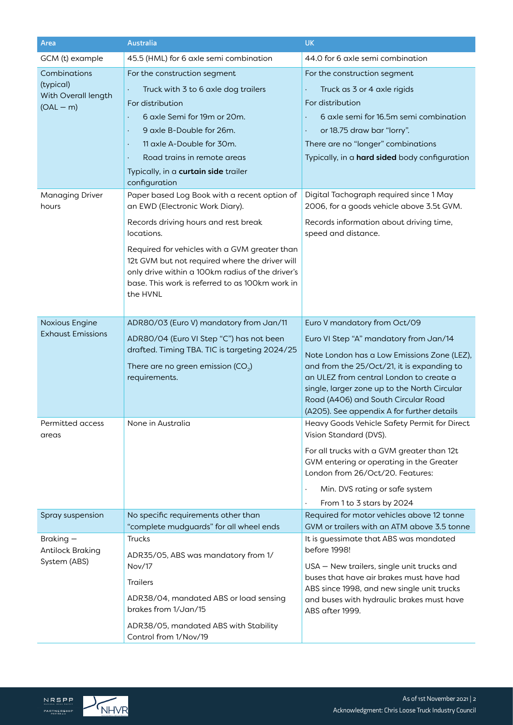| Area                                | <b>Australia</b>                                                                                   | <b>UK</b>                                                                               |
|-------------------------------------|----------------------------------------------------------------------------------------------------|-----------------------------------------------------------------------------------------|
| GCM (t) example                     | 45.5 (HML) for 6 axle semi combination                                                             | 44.0 for 6 axle semi combination                                                        |
| Combinations<br>(typical)           | For the construction segment                                                                       | For the construction segment                                                            |
|                                     | Truck with 3 to 6 axle dog trailers                                                                | Truck as 3 or 4 axle rigids                                                             |
| With Overall length<br>$(OAL - m)$  | For distribution                                                                                   | For distribution                                                                        |
|                                     | 6 axle Semi for 19m or 20m.                                                                        | 6 axle semi for 16.5m semi combination                                                  |
|                                     | 9 axle B-Double for 26m.<br>$\blacksquare$                                                         | or 18.75 draw bar "lorry".                                                              |
|                                     | 11 axle A-Double for 30m.<br>$\bullet$                                                             | There are no "longer" combinations                                                      |
|                                     | Road trains in remote areas                                                                        | Typically, in a hard sided body configuration                                           |
|                                     | Typically, in a curtain side trailer<br>configuration                                              |                                                                                         |
| Managing Driver<br>hours            | Paper based Log Book with a recent option of<br>an EWD (Electronic Work Diary).                    | Digital Tachograph required since 1 May<br>2006, for a goods vehicle above 3.5t GVM.    |
|                                     | Records driving hours and rest break<br>locations.                                                 | Records information about driving time,<br>speed and distance.                          |
|                                     | Required for vehicles with a GVM greater than                                                      |                                                                                         |
|                                     | 12t GVM but not required where the driver will<br>only drive within a 100km radius of the driver's |                                                                                         |
|                                     | base. This work is referred to as 100km work in                                                    |                                                                                         |
|                                     | the HVNL                                                                                           |                                                                                         |
|                                     |                                                                                                    |                                                                                         |
| Noxious Engine                      | ADR80/03 (Euro V) mandatory from Jan/11                                                            | Euro V mandatory from Oct/09                                                            |
| <b>Exhaust Emissions</b>            | ADR80/04 (Euro VI Step "C") has not been                                                           | Euro VI Step "A" mandatory from Jan/14                                                  |
|                                     | drafted. Timing TBA. TIC is targeting 2024/25                                                      | Note London has a Low Emissions Zone (LEZ),                                             |
|                                     | There are no green emission (CO <sub>2</sub> )                                                     | and from the 25/Oct/21, it is expanding to                                              |
|                                     | requirements.                                                                                      | an ULEZ from central London to create a<br>single, larger zone up to the North Circular |
|                                     |                                                                                                    | Road (A406) and South Circular Road                                                     |
|                                     |                                                                                                    | (A205). See appendix A for further details                                              |
| Permitted access<br>areas           | None in Australia                                                                                  | Heavy Goods Vehicle Safety Permit for Direct<br>Vision Standard (DVS).                  |
|                                     |                                                                                                    | For all trucks with a GVM greater than 12t                                              |
|                                     |                                                                                                    | GVM entering or operating in the Greater<br>London from 26/Oct/20. Features:            |
|                                     |                                                                                                    | Min. DVS rating or safe system<br>$\bullet$                                             |
|                                     |                                                                                                    | From 1 to 3 stars by 2024                                                               |
| Spray suspension                    | No specific requirements other than                                                                | Required for motor vehicles above 12 tonne                                              |
|                                     | "complete mudguards" for all wheel ends                                                            | GVM or trailers with an ATM above 3.5 tonne                                             |
| Braking-<br><b>Antilock Braking</b> | <b>Trucks</b>                                                                                      | It is guessimate that ABS was mandated<br>before 1998!                                  |
| System (ABS)                        | ADR35/05, ABS was mandatory from 1/                                                                |                                                                                         |
|                                     | Nov/17                                                                                             | USA - New trailers, single unit trucks and<br>buses that have air brakes must have had  |
|                                     | <b>Trailers</b>                                                                                    | ABS since 1998, and new single unit trucks                                              |
|                                     | ADR38/04, mandated ABS or load sensing<br>brakes from 1/Jan/15                                     | and buses with hydraulic brakes must have<br>ABS after 1999.                            |
|                                     | ADR38/05, mandated ABS with Stability<br>Control from 1/Nov/19                                     |                                                                                         |

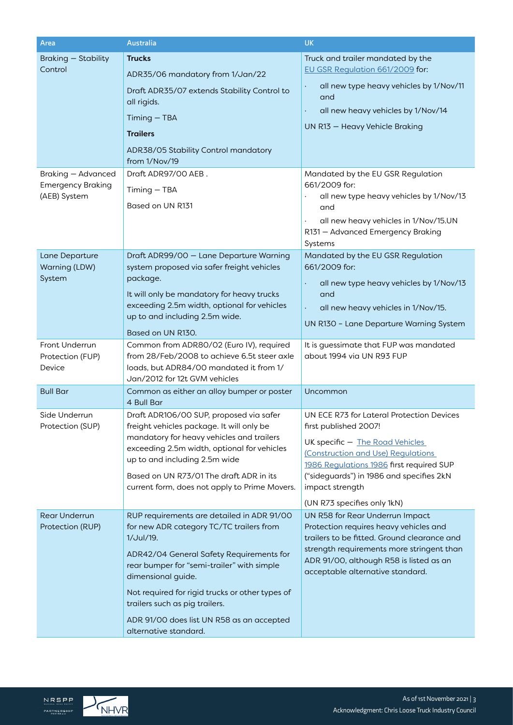| Area                                                                  | <b>Australia</b>                                                                                                                                                                                                                                                                                                                                                               | <b>UK</b>                                                                                                                                                                                                                                                                             |
|-----------------------------------------------------------------------|--------------------------------------------------------------------------------------------------------------------------------------------------------------------------------------------------------------------------------------------------------------------------------------------------------------------------------------------------------------------------------|---------------------------------------------------------------------------------------------------------------------------------------------------------------------------------------------------------------------------------------------------------------------------------------|
| Braking - Stability<br>Control                                        | <b>Trucks</b><br>ADR35/06 mandatory from 1/Jan/22<br>Draft ADR35/07 extends Stability Control to<br>all rigids.<br>Timing - TBA<br><b>Trailers</b><br>ADR38/05 Stability Control mandatory<br>from 1/Nov/19                                                                                                                                                                    | Truck and trailer mandated by the<br>EU GSR Regulation 661/2009 for:<br>all new type heavy vehicles by 1/Nov/11<br>and<br>all new heavy vehicles by 1/Nov/14<br>$\ddot{\phantom{1}}$<br>UN R13 - Heavy Vehicle Braking                                                                |
| <b>Braking - Advanced</b><br><b>Emergency Braking</b><br>(AEB) System | Draft ADR97/00 AEB.<br>Timing - TBA<br>Based on UN R131                                                                                                                                                                                                                                                                                                                        | Mandated by the EU GSR Regulation<br>661/2009 for:<br>all new type heavy vehicles by 1/Nov/13<br>$\bullet$<br>and<br>all new heavy vehicles in 1/Nov/15.UN<br>$\bullet$<br>R131 - Advanced Emergency Braking<br>Systems                                                               |
| Lane Departure<br>Warning (LDW)<br>System                             | Draft ADR99/00 - Lane Departure Warning<br>system proposed via safer freight vehicles<br>package.<br>It will only be mandatory for heavy trucks<br>exceeding 2.5m width, optional for vehicles<br>up to and including 2.5m wide.<br>Based on UN R130.                                                                                                                          | Mandated by the EU GSR Regulation<br>661/2009 for:<br>all new type heavy vehicles by 1/Nov/13<br>and<br>all new heavy vehicles in 1/Nov/15.<br>$\bullet$<br>UN R130 - Lane Departure Warning System                                                                                   |
| Front Underrun<br>Protection (FUP)<br>Device                          | Common from ADR80/02 (Euro IV), required<br>from 28/Feb/2008 to achieve 6.5t steer axle<br>loads, but ADR84/00 mandated it from 1/<br>Jan/2012 for 12t GVM vehicles                                                                                                                                                                                                            | It is guessimate that FUP was mandated<br>about 1994 via UN R93 FUP                                                                                                                                                                                                                   |
| <b>Bull Bar</b>                                                       | Common as either an alloy bumper or poster<br>4 Bull Bar                                                                                                                                                                                                                                                                                                                       | Uncommon                                                                                                                                                                                                                                                                              |
| Side Underrun<br>Protection (SUP)                                     | Draft ADR106/00 SUP, proposed via safer<br>freight vehicles package. It will only be<br>mandatory for heavy vehicles and trailers<br>exceeding 2.5m width, optional for vehicles<br>up to and including 2.5m wide<br>Based on UN R73/01 The draft ADR in its<br>current form, does not apply to Prime Movers.                                                                  | UN ECE R73 for Lateral Protection Devices<br>first published 2007!<br>UK specific - The Road Vehicles<br>(Construction and Use) Regulations<br>1986 Regulations 1986 first required SUP<br>("sideguards") in 1986 and specifies 2kN<br>impact strength<br>(UN R73 specifies only 1kN) |
| <b>Rear Underrun</b><br>Protection (RUP)                              | RUP requirements are detailed in ADR 91/00<br>for new ADR category TC/TC trailers from<br>1/Jul/19.<br>ADR42/04 General Safety Requirements for<br>rear bumper for "semi-trailer" with simple<br>dimensional guide.<br>Not required for rigid trucks or other types of<br>trailers such as pig trailers.<br>ADR 91/00 does list UN R58 as an accepted<br>alternative standard. | UN R58 for Rear Underrun Impact<br>Protection requires heavy vehicles and<br>trailers to be fitted. Ground clearance and<br>strength requirements more stringent than<br>ADR 91/00, although R58 is listed as an<br>acceptable alternative standard.                                  |

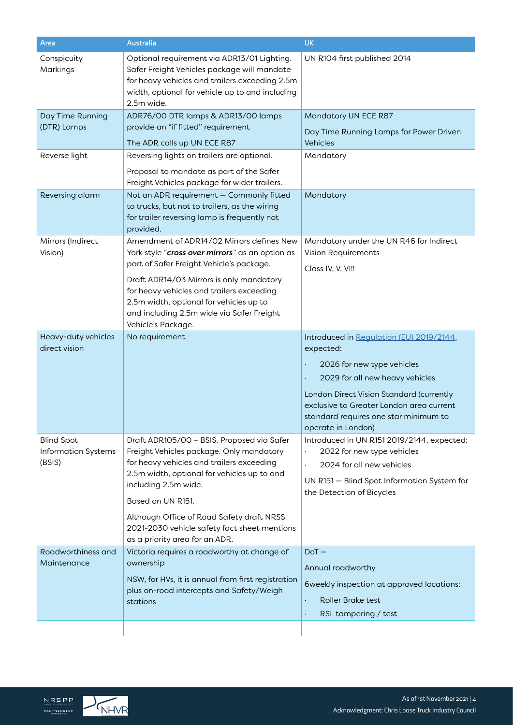| Area                                                      | Australia                                                                                                                                                                                                                                                                                                                                                      | <b>UK</b>                                                                                                                                                                                                                                                                     |
|-----------------------------------------------------------|----------------------------------------------------------------------------------------------------------------------------------------------------------------------------------------------------------------------------------------------------------------------------------------------------------------------------------------------------------------|-------------------------------------------------------------------------------------------------------------------------------------------------------------------------------------------------------------------------------------------------------------------------------|
| Conspicuity<br>Markings                                   | Optional requirement via ADR13/01 Lighting.<br>Safer Freight Vehicles package will mandate<br>for heavy vehicles and trailers exceeding 2.5m<br>width, optional for vehicle up to and including<br>2.5m wide.                                                                                                                                                  | UN R104 first published 2014                                                                                                                                                                                                                                                  |
| Day Time Running<br>(DTR) Lamps                           | ADR76/00 DTR lamps & ADR13/00 lamps<br>provide an "if fitted" requirement<br>The ADR calls up UN ECE R87                                                                                                                                                                                                                                                       | Mandatory UN ECE R87<br>Day Time Running Lamps for Power Driven<br>Vehicles                                                                                                                                                                                                   |
| Reverse light                                             | Reversing lights on trailers are optional.<br>Proposal to mandate as part of the Safer<br>Freight Vehicles package for wider trailers.                                                                                                                                                                                                                         | Mandatory                                                                                                                                                                                                                                                                     |
| Reversing alarm                                           | Not an ADR requirement - Commonly fitted<br>to trucks, but not to trailers, as the wiring<br>for trailer reversing lamp is frequently not<br>provided.                                                                                                                                                                                                         | Mandatory                                                                                                                                                                                                                                                                     |
| Mirrors (Indirect<br>Vision)                              | Amendment of ADR14/02 Mirrors defines New<br>York style "cross over mirrors" as an option as<br>part of Safer Freight Vehicle's package.<br>Draft ADR14/03 Mirrors is only mandatory<br>for heavy vehicles and trailers exceeding<br>2.5m width, optional for vehicles up to<br>and including 2.5m wide via Safer Freight                                      | Mandatory under the UN R46 for Indirect<br>Vision Requirements<br>Class IV, V, VI!!                                                                                                                                                                                           |
| Heavy-duty vehicles<br>direct vision                      | Vehicle's Package.<br>No requirement.                                                                                                                                                                                                                                                                                                                          | Introduced in Regulation (EU) 2019/2144,<br>expected:<br>2026 for new type vehicles<br>2029 for all new heavy vehicles<br>London Direct Vision Standard (currently<br>exclusive to Greater London area current<br>standard requires one star minimum to<br>operate in London) |
| <b>Blind Spot</b><br><b>Information Systems</b><br>(BSIS) | Draft ADR105/00 - BSIS. Proposed via Safer<br>Freight Vehicles package. Only mandatory<br>for heavy vehicles and trailers exceeding<br>2.5m width, optional for vehicles up to and<br>including 2.5m wide.<br>Based on UN R151.<br>Although Office of Road Safety draft NRSS<br>2021-2030 vehicle safety fact sheet mentions<br>as a priority area for an ADR. | Introduced in UN R151 2019/2144, expected:<br>2022 for new type vehicles<br>2024 for all new vehicles<br>$\bullet$<br>UN R151 - Blind Spot Information System for<br>the Detection of Bicycles                                                                                |
| Roadworthiness and<br>Maintenance                         | Victoria requires a roadworthy at change of<br>ownership<br>NSW, for HVs, it is annual from first registration<br>plus on-road intercepts and Safety/Weigh<br>stations                                                                                                                                                                                         | $DoT -$<br>Annual roadworthy<br>6weekly inspection at approved locations:<br><b>Roller Brake test</b><br>RSL tampering / test                                                                                                                                                 |

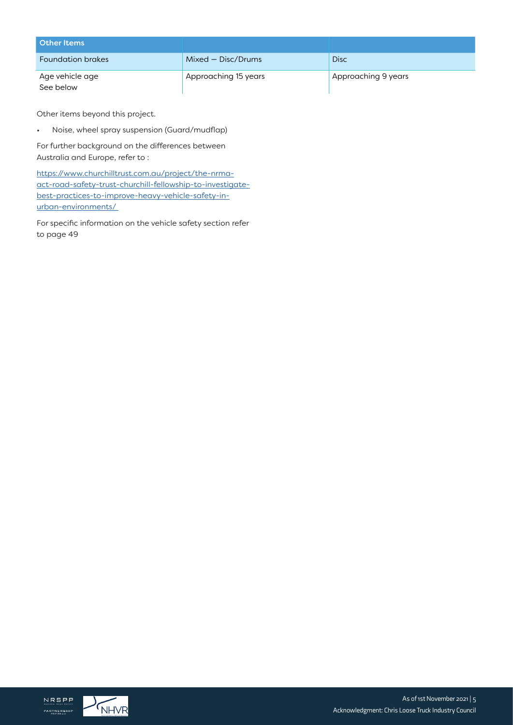| <b>Other Items</b>           |                      |                     |
|------------------------------|----------------------|---------------------|
| <b>Foundation brakes</b>     | Mixed – Disc/Drums   | <b>Disc</b>         |
| Age vehicle age<br>See below | Approaching 15 years | Approaching 9 years |

Other items beyond this project.

• Noise, wheel spray suspension (Guard/mudflap)

For further background on the differences between Australia and Europe, refer to :

[https://www.churchilltrust.com.au/project/the-nrma](https://www.churchilltrust.com.au/project/the-nrma-act-road-safety-trust-churchill-fellowship-to-investigate-best-practices-to-improve-heavy-vehicle-safety-in-urban-environments/)[act-road-safety-trust-churchill-fellowship-to-investigate](https://www.churchilltrust.com.au/project/the-nrma-act-road-safety-trust-churchill-fellowship-to-investigate-best-practices-to-improve-heavy-vehicle-safety-in-urban-environments/)[best-practices-to-improve-heavy-vehicle-safety-in](https://www.churchilltrust.com.au/project/the-nrma-act-road-safety-trust-churchill-fellowship-to-investigate-best-practices-to-improve-heavy-vehicle-safety-in-urban-environments/)[urban-environments/](https://www.churchilltrust.com.au/project/the-nrma-act-road-safety-trust-churchill-fellowship-to-investigate-best-practices-to-improve-heavy-vehicle-safety-in-urban-environments/) 

For specific information on the vehicle safety section refer to page 49